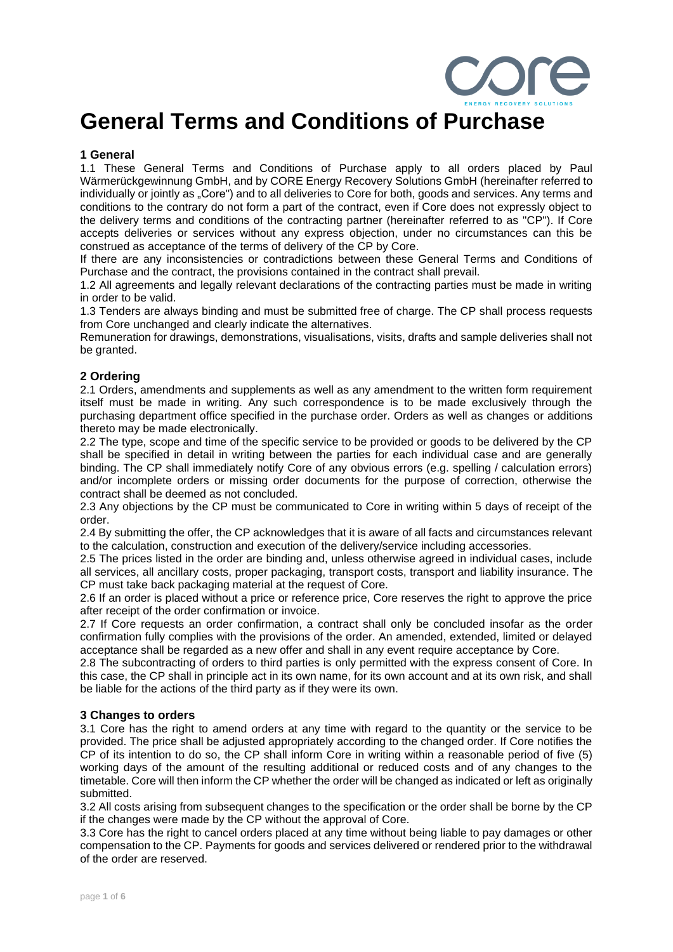

# **General Terms and Conditions of Purchase**

## **1 General**

1.1 These General Terms and Conditions of Purchase apply to all orders placed by Paul Wärmerückgewinnung GmbH, and by CORE Energy Recovery Solutions GmbH (hereinafter referred to individually or jointly as "Core") and to all deliveries to Core for both, goods and services. Any terms and conditions to the contrary do not form a part of the contract, even if Core does not expressly object to the delivery terms and conditions of the contracting partner (hereinafter referred to as "CP"). If Core accepts deliveries or services without any express objection, under no circumstances can this be construed as acceptance of the terms of delivery of the CP by Core.

If there are any inconsistencies or contradictions between these General Terms and Conditions of Purchase and the contract, the provisions contained in the contract shall prevail.

1.2 All agreements and legally relevant declarations of the contracting parties must be made in writing in order to be valid.

1.3 Tenders are always binding and must be submitted free of charge. The CP shall process requests from Core unchanged and clearly indicate the alternatives.

Remuneration for drawings, demonstrations, visualisations, visits, drafts and sample deliveries shall not be granted.

## **2 Ordering**

2.1 Orders, amendments and supplements as well as any amendment to the written form requirement itself must be made in writing. Any such correspondence is to be made exclusively through the purchasing department office specified in the purchase order. Orders as well as changes or additions thereto may be made electronically.

2.2 The type, scope and time of the specific service to be provided or goods to be delivered by the CP shall be specified in detail in writing between the parties for each individual case and are generally binding. The CP shall immediately notify Core of any obvious errors (e.g. spelling / calculation errors) and/or incomplete orders or missing order documents for the purpose of correction, otherwise the contract shall be deemed as not concluded.

2.3 Any objections by the CP must be communicated to Core in writing within 5 days of receipt of the order.

2.4 By submitting the offer, the CP acknowledges that it is aware of all facts and circumstances relevant to the calculation, construction and execution of the delivery/service including accessories.

2.5 The prices listed in the order are binding and, unless otherwise agreed in individual cases, include all services, all ancillary costs, proper packaging, transport costs, transport and liability insurance. The CP must take back packaging material at the request of Core.

2.6 If an order is placed without a price or reference price, Core reserves the right to approve the price after receipt of the order confirmation or invoice.

2.7 If Core requests an order confirmation, a contract shall only be concluded insofar as the order confirmation fully complies with the provisions of the order. An amended, extended, limited or delayed acceptance shall be regarded as a new offer and shall in any event require acceptance by Core.

2.8 The subcontracting of orders to third parties is only permitted with the express consent of Core. In this case, the CP shall in principle act in its own name, for its own account and at its own risk, and shall be liable for the actions of the third party as if they were its own.

## **3 Changes to orders**

3.1 Core has the right to amend orders at any time with regard to the quantity or the service to be provided. The price shall be adjusted appropriately according to the changed order. If Core notifies the CP of its intention to do so, the CP shall inform Core in writing within a reasonable period of five (5) working days of the amount of the resulting additional or reduced costs and of any changes to the timetable. Core will then inform the CP whether the order will be changed as indicated or left as originally submitted.

3.2 All costs arising from subsequent changes to the specification or the order shall be borne by the CP if the changes were made by the CP without the approval of Core.

3.3 Core has the right to cancel orders placed at any time without being liable to pay damages or other compensation to the CP. Payments for goods and services delivered or rendered prior to the withdrawal of the order are reserved.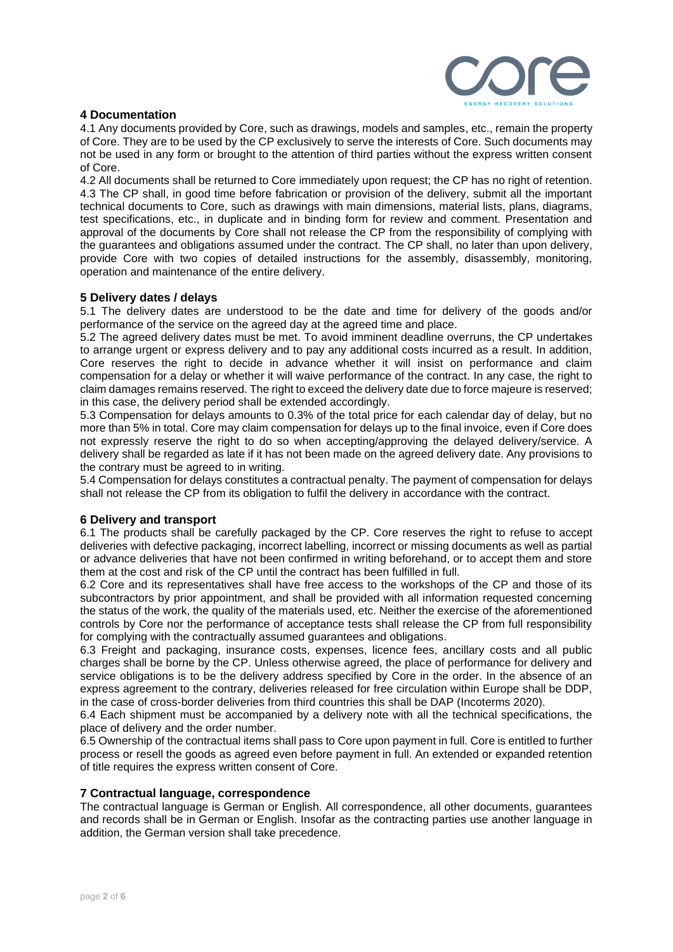

## **4 Documentation**

4.1 Any documents provided by Core, such as drawings, models and samples, etc., remain the property of Core. They are to be used by the CP exclusively to serve the interests of Core. Such documents may not be used in any form or brought to the attention of third parties without the express written consent of Core.

4.2 All documents shall be returned to Core immediately upon request; the CP has no right of retention. 4.3 The CP shall, in good time before fabrication or provision of the delivery, submit all the important technical documents to Core, such as drawings with main dimensions, material lists, plans, diagrams, test specifications, etc., in duplicate and in binding form for review and comment. Presentation and approval of the documents by Core shall not release the CP from the responsibility of complying with the guarantees and obligations assumed under the contract. The CP shall, no later than upon delivery, provide Core with two copies of detailed instructions for the assembly, disassembly, monitoring, operation and maintenance of the entire delivery.

## **5 Delivery dates / delays**

5.1 The delivery dates are understood to be the date and time for delivery of the goods and/or performance of the service on the agreed day at the agreed time and place.

5.2 The agreed delivery dates must be met. To avoid imminent deadline overruns, the CP undertakes to arrange urgent or express delivery and to pay any additional costs incurred as a result. In addition, Core reserves the right to decide in advance whether it will insist on performance and claim compensation for a delay or whether it will waive performance of the contract. In any case, the right to claim damages remains reserved. The right to exceed the delivery date due to force majeure is reserved; in this case, the delivery period shall be extended accordingly.

5.3 Compensation for delays amounts to 0.3% of the total price for each calendar day of delay, but no more than 5% in total. Core may claim compensation for delays up to the final invoice, even if Core does not expressly reserve the right to do so when accepting/approving the delayed delivery/service. A delivery shall be regarded as late if it has not been made on the agreed delivery date. Any provisions to the contrary must be agreed to in writing.

5.4 Compensation for delays constitutes a contractual penalty. The payment of compensation for delays shall not release the CP from its obligation to fulfil the delivery in accordance with the contract.

## **6 Delivery and transport**

6.1 The products shall be carefully packaged by the CP. Core reserves the right to refuse to accept deliveries with defective packaging, incorrect labelling, incorrect or missing documents as well as partial or advance deliveries that have not been confirmed in writing beforehand, or to accept them and store them at the cost and risk of the CP until the contract has been fulfilled in full.

6.2 Core and its representatives shall have free access to the workshops of the CP and those of its subcontractors by prior appointment, and shall be provided with all information requested concerning the status of the work, the quality of the materials used, etc. Neither the exercise of the aforementioned controls by Core nor the performance of acceptance tests shall release the CP from full responsibility for complying with the contractually assumed guarantees and obligations.

6.3 Freight and packaging, insurance costs, expenses, licence fees, ancillary costs and all public charges shall be borne by the CP. Unless otherwise agreed, the place of performance for delivery and service obligations is to be the delivery address specified by Core in the order. In the absence of an express agreement to the contrary, deliveries released for free circulation within Europe shall be DDP, in the case of cross-border deliveries from third countries this shall be DAP (Incoterms 2020).

6.4 Each shipment must be accompanied by a delivery note with all the technical specifications, the place of delivery and the order number.

6.5 Ownership of the contractual items shall pass to Core upon payment in full. Core is entitled to further process or resell the goods as agreed even before payment in full. An extended or expanded retention of title requires the express written consent of Core.

#### **7 Contractual language, correspondence**

The contractual language is German or English. All correspondence, all other documents, guarantees and records shall be in German or English. Insofar as the contracting parties use another language in addition, the German version shall take precedence.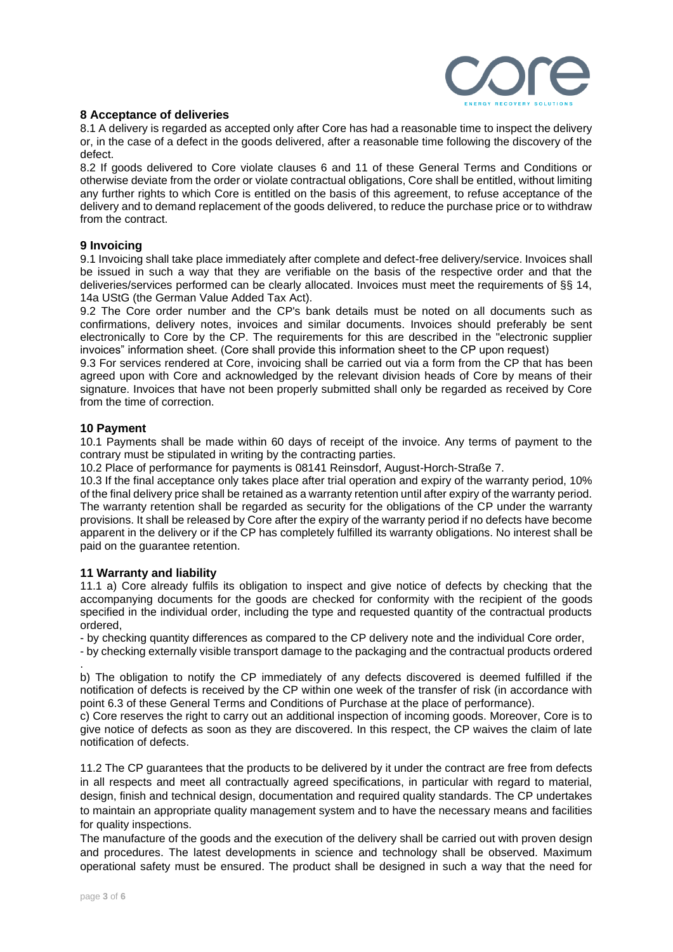

## **8 Acceptance of deliveries**

8.1 A delivery is regarded as accepted only after Core has had a reasonable time to inspect the delivery or, in the case of a defect in the goods delivered, after a reasonable time following the discovery of the defect.

8.2 If goods delivered to Core violate clauses 6 and 11 of these General Terms and Conditions or otherwise deviate from the order or violate contractual obligations, Core shall be entitled, without limiting any further rights to which Core is entitled on the basis of this agreement, to refuse acceptance of the delivery and to demand replacement of the goods delivered, to reduce the purchase price or to withdraw from the contract.

## **9 Invoicing**

9.1 Invoicing shall take place immediately after complete and defect-free delivery/service. Invoices shall be issued in such a way that they are verifiable on the basis of the respective order and that the deliveries/services performed can be clearly allocated. Invoices must meet the requirements of §§ 14, 14a UStG (the German Value Added Tax Act).

9.2 The Core order number and the CP's bank details must be noted on all documents such as confirmations, delivery notes, invoices and similar documents. Invoices should preferably be sent electronically to Core by the CP. The requirements for this are described in the "electronic supplier invoices" information sheet. (Core shall provide this information sheet to the CP upon request)

9.3 For services rendered at Core, invoicing shall be carried out via a form from the CP that has been agreed upon with Core and acknowledged by the relevant division heads of Core by means of their signature. Invoices that have not been properly submitted shall only be regarded as received by Core from the time of correction.

## **10 Payment**

10.1 Payments shall be made within 60 days of receipt of the invoice. Any terms of payment to the contrary must be stipulated in writing by the contracting parties.

10.2 Place of performance for payments is 08141 Reinsdorf, August-Horch-Straße 7.

10.3 If the final acceptance only takes place after trial operation and expiry of the warranty period, 10% of the final delivery price shall be retained as a warranty retention until after expiry of the warranty period. The warranty retention shall be regarded as security for the obligations of the CP under the warranty provisions. It shall be released by Core after the expiry of the warranty period if no defects have become apparent in the delivery or if the CP has completely fulfilled its warranty obligations. No interest shall be paid on the guarantee retention.

## **11 Warranty and liability**

11.1 a) Core already fulfils its obligation to inspect and give notice of defects by checking that the accompanying documents for the goods are checked for conformity with the recipient of the goods specified in the individual order, including the type and requested quantity of the contractual products ordered,

- by checking quantity differences as compared to the CP delivery note and the individual Core order,

- by checking externally visible transport damage to the packaging and the contractual products ordered

. b) The obligation to notify the CP immediately of any defects discovered is deemed fulfilled if the notification of defects is received by the CP within one week of the transfer of risk (in accordance with point 6.3 of these General Terms and Conditions of Purchase at the place of performance).

c) Core reserves the right to carry out an additional inspection of incoming goods. Moreover, Core is to give notice of defects as soon as they are discovered. In this respect, the CP waives the claim of late notification of defects.

11.2 The CP guarantees that the products to be delivered by it under the contract are free from defects in all respects and meet all contractually agreed specifications, in particular with regard to material, design, finish and technical design, documentation and required quality standards. The CP undertakes to maintain an appropriate quality management system and to have the necessary means and facilities for quality inspections.

The manufacture of the goods and the execution of the delivery shall be carried out with proven design and procedures. The latest developments in science and technology shall be observed. Maximum operational safety must be ensured. The product shall be designed in such a way that the need for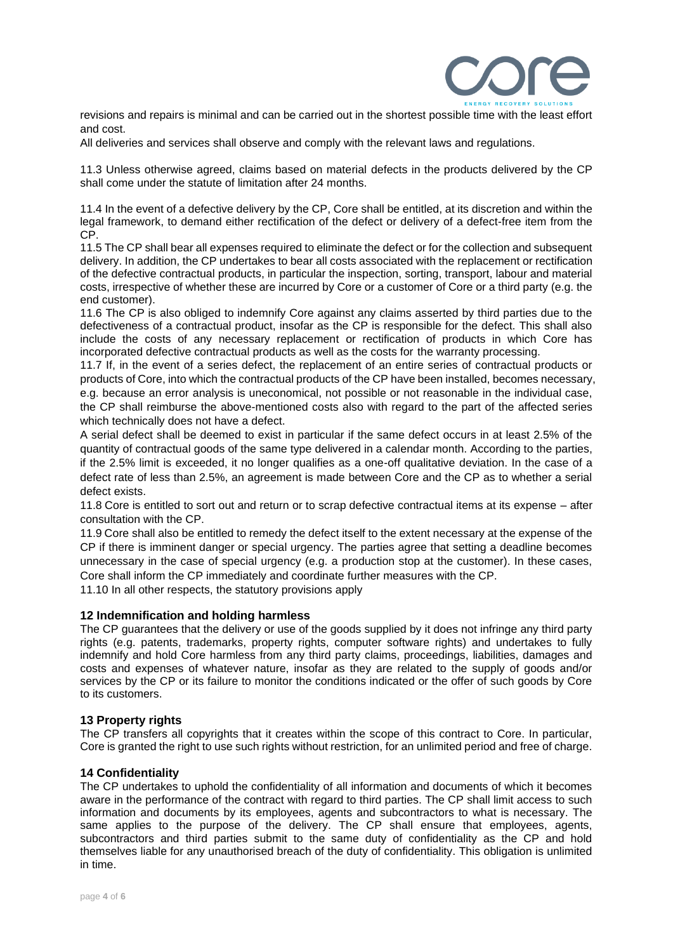

revisions and repairs is minimal and can be carried out in the shortest possible time with the least effort and cost.

All deliveries and services shall observe and comply with the relevant laws and regulations.

11.3 Unless otherwise agreed, claims based on material defects in the products delivered by the CP shall come under the statute of limitation after 24 months.

11.4 In the event of a defective delivery by the CP, Core shall be entitled, at its discretion and within the legal framework, to demand either rectification of the defect or delivery of a defect-free item from the CP.

11.5 The CP shall bear all expenses required to eliminate the defect or for the collection and subsequent delivery. In addition, the CP undertakes to bear all costs associated with the replacement or rectification of the defective contractual products, in particular the inspection, sorting, transport, labour and material costs, irrespective of whether these are incurred by Core or a customer of Core or a third party (e.g. the end customer).

11.6 The CP is also obliged to indemnify Core against any claims asserted by third parties due to the defectiveness of a contractual product, insofar as the CP is responsible for the defect. This shall also include the costs of any necessary replacement or rectification of products in which Core has incorporated defective contractual products as well as the costs for the warranty processing.

11.7 If, in the event of a series defect, the replacement of an entire series of contractual products or products of Core, into which the contractual products of the CP have been installed, becomes necessary, e.g. because an error analysis is uneconomical, not possible or not reasonable in the individual case, the CP shall reimburse the above-mentioned costs also with regard to the part of the affected series which technically does not have a defect.

A serial defect shall be deemed to exist in particular if the same defect occurs in at least 2.5% of the quantity of contractual goods of the same type delivered in a calendar month. According to the parties, if the 2.5% limit is exceeded, it no longer qualifies as a one-off qualitative deviation. In the case of a defect rate of less than 2.5%, an agreement is made between Core and the CP as to whether a serial defect exists.

11.8 Core is entitled to sort out and return or to scrap defective contractual items at its expense – after consultation with the CP.

11.9 Core shall also be entitled to remedy the defect itself to the extent necessary at the expense of the CP if there is imminent danger or special urgency. The parties agree that setting a deadline becomes unnecessary in the case of special urgency (e.g. a production stop at the customer). In these cases, Core shall inform the CP immediately and coordinate further measures with the CP.

11.10 In all other respects, the statutory provisions apply

## **12 Indemnification and holding harmless**

The CP guarantees that the delivery or use of the goods supplied by it does not infringe any third party rights (e.g. patents, trademarks, property rights, computer software rights) and undertakes to fully indemnify and hold Core harmless from any third party claims, proceedings, liabilities, damages and costs and expenses of whatever nature, insofar as they are related to the supply of goods and/or services by the CP or its failure to monitor the conditions indicated or the offer of such goods by Core to its customers.

## **13 Property rights**

The CP transfers all copyrights that it creates within the scope of this contract to Core. In particular, Core is granted the right to use such rights without restriction, for an unlimited period and free of charge.

## **14 Confidentiality**

The CP undertakes to uphold the confidentiality of all information and documents of which it becomes aware in the performance of the contract with regard to third parties. The CP shall limit access to such information and documents by its employees, agents and subcontractors to what is necessary. The same applies to the purpose of the delivery. The CP shall ensure that employees, agents, subcontractors and third parties submit to the same duty of confidentiality as the CP and hold themselves liable for any unauthorised breach of the duty of confidentiality. This obligation is unlimited in time.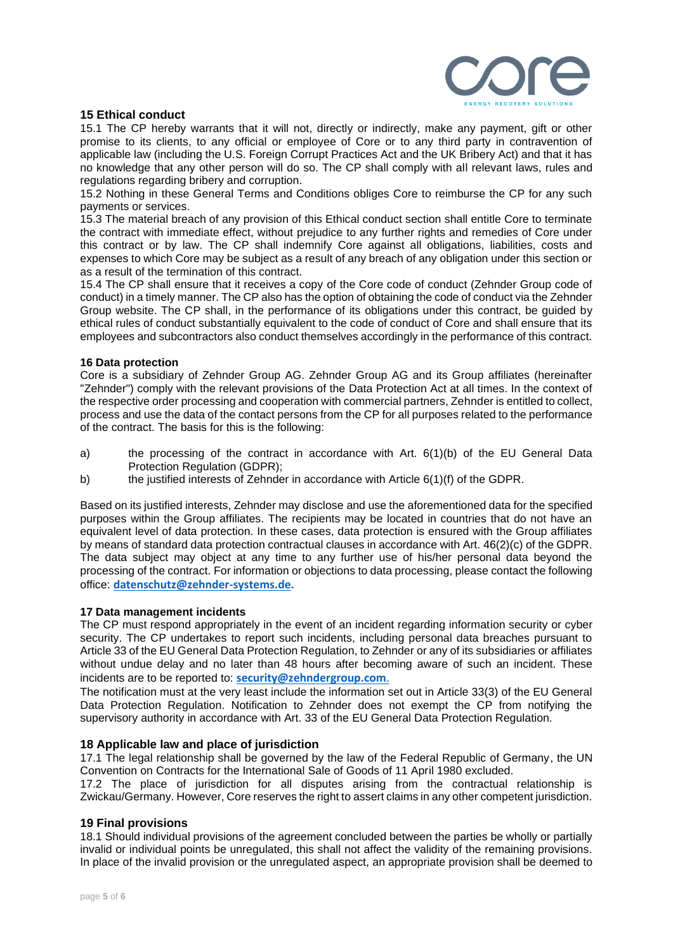

## **15 Ethical conduct**

15.1 The CP hereby warrants that it will not, directly or indirectly, make any payment, gift or other promise to its clients, to any official or employee of Core or to any third party in contravention of applicable law (including the U.S. Foreign Corrupt Practices Act and the UK Bribery Act) and that it has no knowledge that any other person will do so. The CP shall comply with all relevant laws, rules and regulations regarding bribery and corruption.

15.2 Nothing in these General Terms and Conditions obliges Core to reimburse the CP for any such payments or services.

15.3 The material breach of any provision of this Ethical conduct section shall entitle Core to terminate the contract with immediate effect, without prejudice to any further rights and remedies of Core under this contract or by law. The CP shall indemnify Core against all obligations, liabilities, costs and expenses to which Core may be subject as a result of any breach of any obligation under this section or as a result of the termination of this contract.

15.4 The CP shall ensure that it receives a copy of the Core code of conduct (Zehnder Group code of conduct) in a timely manner. The CP also has the option of obtaining the code of conduct via the Zehnder Group website. The CP shall, in the performance of its obligations under this contract, be guided by ethical rules of conduct substantially equivalent to the code of conduct of Core and shall ensure that its employees and subcontractors also conduct themselves accordingly in the performance of this contract.

## **16 Data protection**

Core is a subsidiary of Zehnder Group AG. Zehnder Group AG and its Group affiliates (hereinafter "Zehnder") comply with the relevant provisions of the Data Protection Act at all times. In the context of the respective order processing and cooperation with commercial partners, Zehnder is entitled to collect, process and use the data of the contact persons from the CP for all purposes related to the performance of the contract. The basis for this is the following:

- a) the processing of the contract in accordance with Art. 6(1)(b) of the EU General Data Protection Regulation (GDPR);
- b) the justified interests of Zehnder in accordance with Article 6(1)(f) of the GDPR.

Based on its justified interests, Zehnder may disclose and use the aforementioned data for the specified purposes within the Group affiliates. The recipients may be located in countries that do not have an equivalent level of data protection. In these cases, data protection is ensured with the Group affiliates by means of standard data protection contractual clauses in accordance with Art. 46(2)(c) of the GDPR. The data subject may object at any time to any further use of his/her personal data beyond the processing of the contract. For information or objections to data processing, please contact the following office: **[datenschutz@zehnder-systems.de.](mailto:datenschutz@zehnder-systems.de)** 

## **17 Data management incidents**

The CP must respond appropriately in the event of an incident regarding information security or cyber security. The CP undertakes to report such incidents, including personal data breaches pursuant to Article 33 of the EU General Data Protection Regulation, to Zehnder or any of its subsidiaries or affiliates without undue delay and no later than 48 hours after becoming aware of such an incident. These incidents are to be reported to: **security@zehndergroup.com**.

The notification must at the very least include the information set out in Article 33(3) of the EU General Data Protection Regulation. Notification to Zehnder does not exempt the CP from notifying the supervisory authority in accordance with Art. 33 of the EU General Data Protection Regulation.

## **18 Applicable law and place of jurisdiction**

17.1 The legal relationship shall be governed by the law of the Federal Republic of Germany, the UN Convention on Contracts for the International Sale of Goods of 11 April 1980 excluded.

17.2 The place of jurisdiction for all disputes arising from the contractual relationship is Zwickau/Germany. However, Core reserves the right to assert claims in any other competent jurisdiction.

## **19 Final provisions**

18.1 Should individual provisions of the agreement concluded between the parties be wholly or partially invalid or individual points be unregulated, this shall not affect the validity of the remaining provisions. In place of the invalid provision or the unregulated aspect, an appropriate provision shall be deemed to